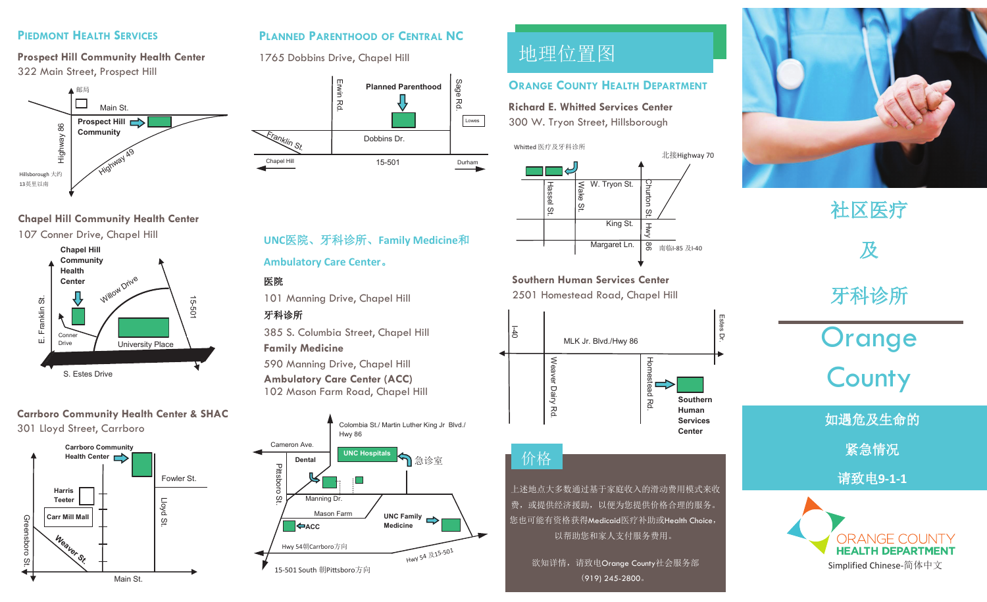#### **PIEDMONT HEALTH SERVICES PIEDMONT HEALTH SERVICES PIEDMONT HEALTH SERVICES PIEDMONT HEALTH SERVICES**

**Prospect Hill Community Health Center Prospect Hill Community Health Center Prospect Hill Community Health Center Prospect Hill Community Health Center** 322 Main Street, Prospect Hill 322 Main Street, Prospect Hill 322 Main Street, Prospect Hill 322 Main Street, Prospect Hill



#### **Chapel Hill Community Health Center Chapel Hill Community Health Center Chapel Hill Community Health Center Chapel Hill Community Health Center**



#### **Carrboro Community Health Center & SHAC Carrboro Community Health Center & SHAC Carrboro Community Health Center & SHAC Carrboro Community Health Center & SHAC** 301 Lloyd Street, Carrboro 301 Lloyd Street, Carrboro 301 Lloyd Street, Carrboro 301 Lloyd Street, Carrboro



### PLANNED PARENTHOOD OF CENTRAL NC

1765 Dobbins Drive, Chapel Hill 1765 Dobbins Drive, Chapel Hill 1765 Dobbins Drive, Chapel Hill 1765 Dobbins Drive, Chapel Hill



## **UNC**医院、牙科诊所、**Family Medicine**和 **UNC**医院、牙科诊所、**Family Medicine**和 **UNC**医院、牙科诊所、**Family Medicine**和 **UNC**医院、牙科诊所、**Family Medicine**和

#### **Ambulatory Care Center**。 **Ambulatory Care Center**。 **Ambulatory Care Center**。 **Ambulatory Care Center**。

#### 医院 医院 医院 医院

101 Manning Drive, Chapel Hill 101 Manning Drive, Chapel Hill 101 Manning Drive, Chapel Hill 101 Manning Drive, Chapel Hill

### 牙科诊所 牙科诊所 牙科诊所 牙科诊所

385 S. Columbia Street, Chapel Hill 385 S. Columbia Street, Chapel Hill 385 S. Columbia Street, Chapel Hill 385 S. Columbia Street, Chapel Hill

#### **Family Medicine Family Medicine Family Medicine Family Medicine**

590 Manning Drive, Chapel Hill 590 Manning Drive, Chapel Hill 590 Manning Drive, Chapel Hill 590 Manning Drive, Chapel Hill **Ambulatory Care Center (ACC) Ambulatory Care Center (ACC) Ambulatory Care Center (ACC) Ambulatory Care Center (ACC)** 102 Mason Farm Road, Chapel Hill 102 Mason Farm Road, Chapel Hill 102 Mason Farm Road, Chapel Hill 102 Mason Farm Road, Chapel Hill



# 地理位置图 地理位置图 地理位置图 地理位置图

#### **ORANGE COUNTY HEALTH DEPARTMENT**

**Richard E. Whitted Services Center Richard E. Whitted Services Center Richard E. Whitted Services Center Richard E. Whitted Services Center** 300 W. Tryon Street, Hillsborough 300 W. Tryon Street, Hillsborough 300 W. Tryon Street, Hillsborough 300 W. Tryon Street, Hillsborough

#### Whitted 医疗及牙科诊所 Whitted 医疗及牙科诊所 Whitted 医疗及牙科诊所 Whitted 医疗及牙科诊所



**Southern Human Services Center Southern Human Services Center Southern Human Services Center Southern Human Services Center** 2501 Homestead Road, Chapel Hill 2501 Homestead Road, Chapel Hill 2501 Homestead Road, Chapel Hill 2501 Homestead Road, Chapel Hill



## 价格 价格 价格 价格

上述地点大多数通过基于家庭收入的滑动费用模式来收 上述地点大多数通过基于家庭收入的滑动费用模式来收 上述地点大多数通过基于家庭收入的滑动费用模式来收 上述地点大多数通过基于家庭收入的滑动费用模式来收 费, 或提供经济援助, 以便为您提供价格合理的服务。 您也可能有资格获得Medicaid医疗补助或Health Choice, 您也可能有资格获得Medicaid医疗补助或Health Choice, 您也可能有资格获得Medicaid医疗补助或Health Choice, 您也可能有资格获得Medicaid医疗补助或Health Choice, 以帮助您和家人支付服务费用。 以帮助您和家人支付服务费用。 以帮助您和家人支付服务费用。 以帮助您和家人支付服务费用。

欲知详情,请致电Orange County社会服务部 (919) 245-2800。 (919) 245-2800。 (919) 245-2800。 (919) 245-2800。



# 社区医疗 社区医疗 社区医疗 社区医疗 及 及 及 牙科诊所 牙科诊所 牙科诊所 牙科诊所 及

Orange Orange Orange Orange County County County County

如遇危及生命的 如遇危及生命的 如遇危及生命的 如遇危及生命的

紧急情况 紧急情况 紧急情况 紧急情况

请致电**9-1-1**  请致电**9-1-1**  请致电**9-1-1**  请致电**9-1-1**